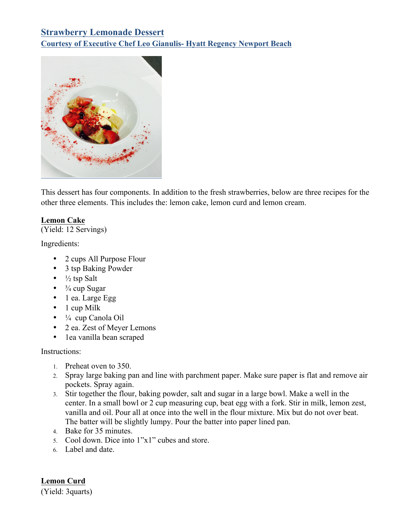# **Strawberry Lemonade Dessert Courtesy of Executive Chef Leo Gianulis- Hyatt Regency Newport Beach**



This dessert has four components. In addition to the fresh strawberries, below are three recipes for the other three elements. This includes the: lemon cake, lemon curd and lemon cream.

### **Lemon Cake**

(Yield: 12 Servings)

Ingredients:

- 2 cups All Purpose Flour
- 3 tsp Baking Powder
- $\frac{1}{2}$  tsp Salt
- $\frac{3}{4}$  cup Sugar
- 1 ea. Large Egg
- 1 cup Milk
- $\bullet$   $\frac{1}{4}$  cup Canola Oil
- 2 ea. Zest of Meyer Lemons
- 1ea vanilla bean scraped

#### Instructions:

- 1. Preheat oven to 350.
- 2. Spray large baking pan and line with parchment paper. Make sure paper is flat and remove air pockets. Spray again.
- 3. Stir together the flour, baking powder, salt and sugar in a large bowl. Make a well in the center. In a small bowl or 2 cup measuring cup, beat egg with a fork. Stir in milk, lemon zest, vanilla and oil. Pour all at once into the well in the flour mixture. Mix but do not over beat. The batter will be slightly lumpy. Pour the batter into paper lined pan.
- 4. Bake for 35 minutes.
- 5. Cool down. Dice into 1"x1" cubes and store.
- 6. Label and date.

**Lemon Curd**

(Yield: 3quarts)